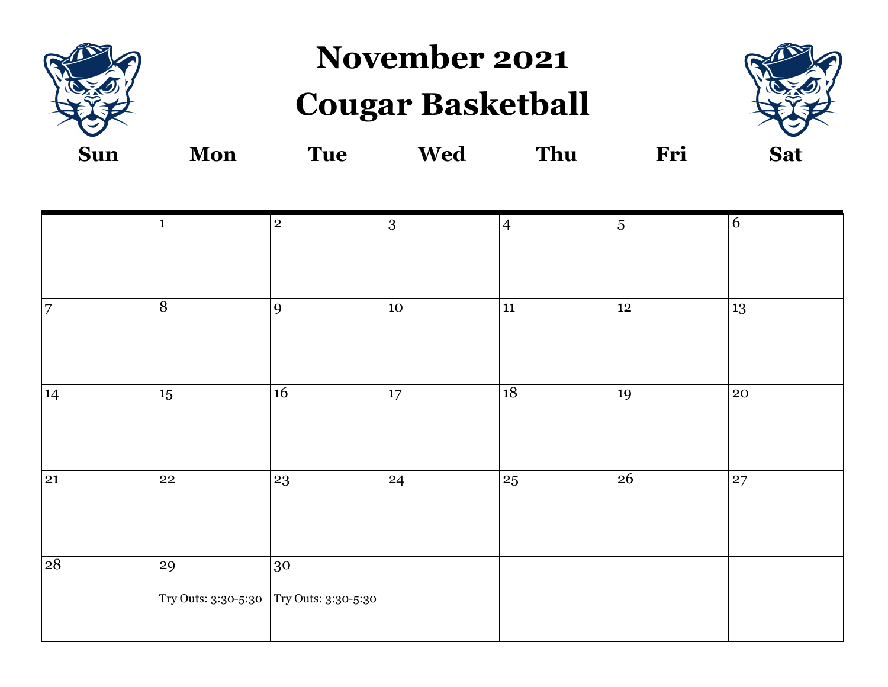

**November 2021**

## **Cougar Basketball**



|    | $\mathbf{1}$                            | $\overline{2}$ | 3      | $\overline{4}$ | $\overline{5}$ | $\overline{6}$ |
|----|-----------------------------------------|----------------|--------|----------------|----------------|----------------|
|    |                                         |                |        |                |                |                |
|    |                                         |                |        |                |                |                |
| 7  | $\overline{8}$                          | 9              | $10\,$ | 11             | $12\,$         | 13             |
|    |                                         |                |        |                |                |                |
|    |                                         |                |        |                |                |                |
| 14 | $15\,$                                  | $16\,$         | $17\,$ | 18             | 19             | 20             |
|    |                                         |                |        |                |                |                |
|    |                                         |                |        |                |                |                |
| 21 | $22\,$                                  | 23             | 24     | $25\,$         | 26             | 27             |
|    |                                         |                |        |                |                |                |
|    |                                         |                |        |                |                |                |
| 28 | 29                                      | 30             |        |                |                |                |
|    |                                         |                |        |                |                |                |
|    | Try Outs: 3:30-5:30 Try Outs: 3:30-5:30 |                |        |                |                |                |
|    |                                         |                |        |                |                |                |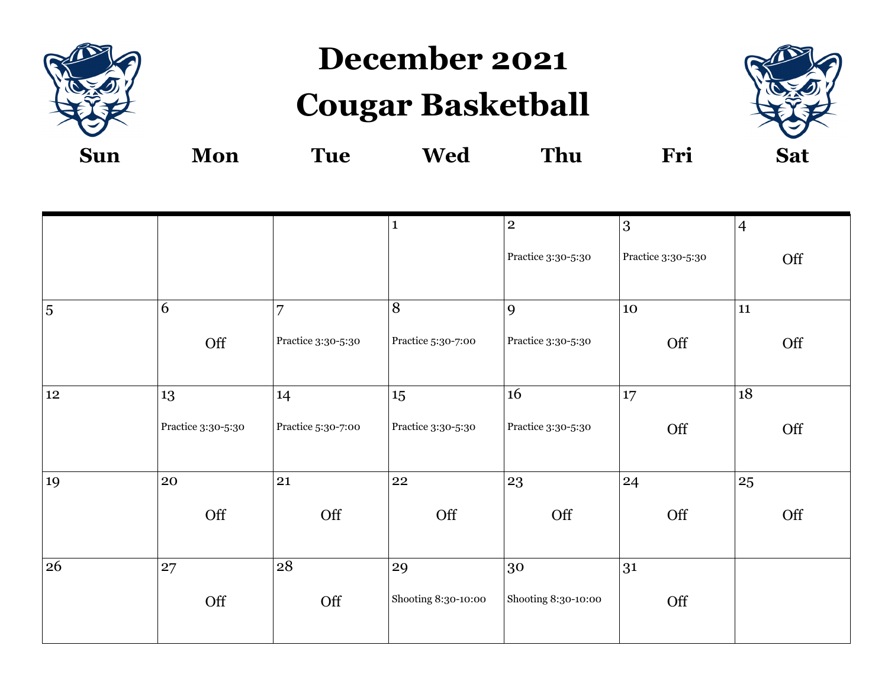

**December 2021**

## **Cougar Basketball**



| <b>Sun</b> | Mon | `ue | <b>Wed</b> | <b>Thu</b> | Fri | <b>Sat</b> |
|------------|-----|-----|------------|------------|-----|------------|
|            |     |     |            |            |     |            |

|        |                    |                    | $\mathbf{1}$        | $\overline{2}$      | 3                  | $\overline{4}$ |
|--------|--------------------|--------------------|---------------------|---------------------|--------------------|----------------|
|        |                    |                    |                     | Practice 3:30-5:30  | Practice 3:30-5:30 | Off            |
|        |                    |                    |                     |                     |                    |                |
| 5      | 6                  | 7                  | $\overline{8}$      | 9                   | 10                 | 11             |
|        | Off                | Practice 3:30-5:30 | Practice 5:30-7:00  | Practice 3:30-5:30  | Off                | Off            |
| $12\,$ | 13                 | 14                 | 15                  | 16                  | 17                 | 18             |
|        | Practice 3:30-5:30 | Practice 5:30-7:00 | Practice 3:30-5:30  | Practice 3:30-5:30  | Off                | Off            |
| 19     | 20                 | 21                 | 22                  | 23                  | 24                 | 25             |
|        | Off                | Off                | Off                 | Off                 | Off                | Off            |
| 26     | 27                 | 28                 | 29                  | 30                  | 31                 |                |
|        | Off                | Off                | Shooting 8:30-10:00 | Shooting 8:30-10:00 | Off                |                |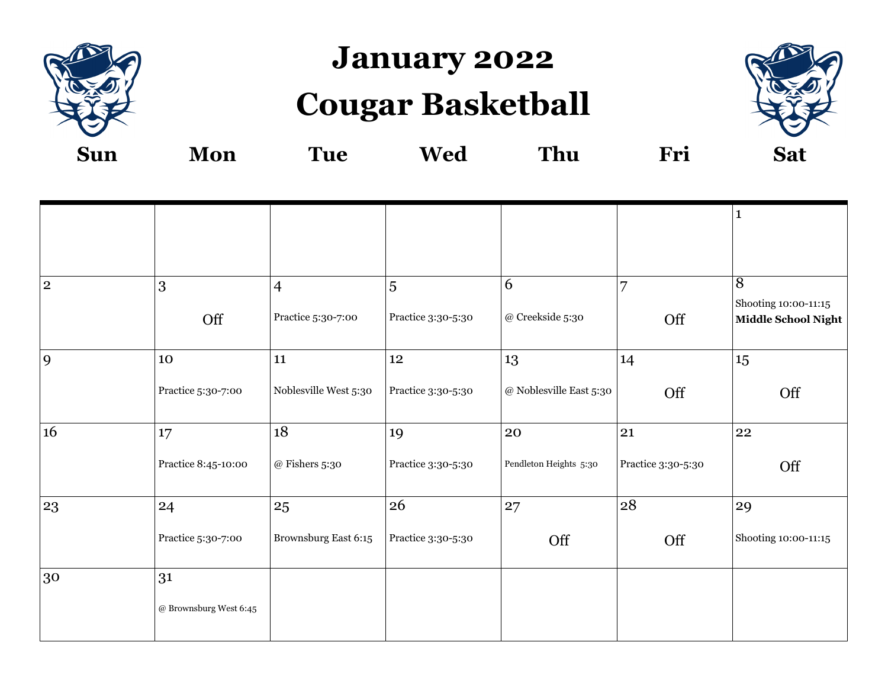

#### **January 2022**

# **Cougar Basketball**



|                |                                |                       |                    |                          |                    | $\mathbf{1}$                                |
|----------------|--------------------------------|-----------------------|--------------------|--------------------------|--------------------|---------------------------------------------|
|                |                                |                       |                    |                          |                    |                                             |
| $\overline{2}$ | 3                              | $\overline{4}$        | 5                  | 6                        | $\overline{7}$     | $\overline{8}$                              |
|                | Off                            | Practice 5:30-7:00    | Practice 3:30-5:30 | $\oslash$ Creekside 5:30 | Off                | Shooting 10:00-11:15<br>Middle School Night |
| 9              | 10                             | 11                    | 12                 | 13                       | 14                 | 15                                          |
|                | Practice 5:30-7:00             | Noblesville West 5:30 | Practice 3:30-5:30 | @ Noblesville East 5:30  | Off                | Off                                         |
| 16             | 17                             | 18                    | 19                 | 20                       | 21                 | 22                                          |
|                | Practice 8:45-10:00            | $@$ Fishers 5:30      | Practice 3:30-5:30 | Pendleton Heights 5:30   | Practice 3:30-5:30 | Off                                         |
| 23             | 24                             | 25                    | 26                 | 27                       | 28                 | 29                                          |
|                | Practice 5:30-7:00             | Brownsburg East 6:15  | Practice 3:30-5:30 | Off                      | Off                | Shooting 10:00-11:15                        |
| 30             | 31                             |                       |                    |                          |                    |                                             |
|                | $\oslash$ Brownsburg West 6:45 |                       |                    |                          |                    |                                             |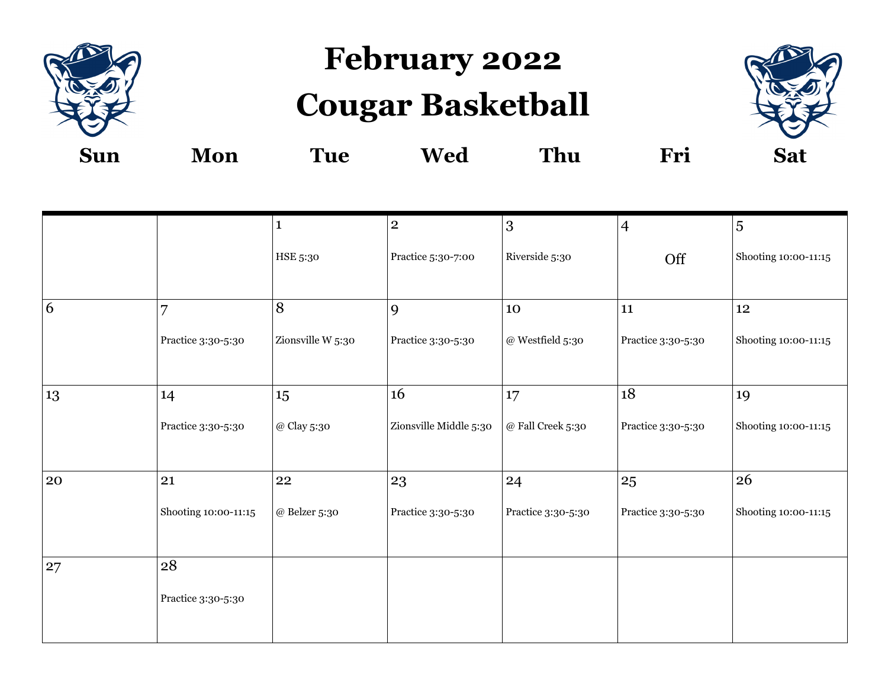

# **February 2022 Cougar Basketball**



|    |                      | $\mathbf{1}$      | $\mathbf{2}$           | 3                   | $\overline{4}$     | $\overline{5}$       |
|----|----------------------|-------------------|------------------------|---------------------|--------------------|----------------------|
|    |                      | HSE 5:30          | Practice 5:30-7:00     | Riverside 5:30      | Off                | Shooting 10:00-11:15 |
| 6  | $\overline{7}$       | 8                 | 9                      | 10                  | ${\bf 11}$         | $12\phantom{.0}$     |
|    | Practice 3:30-5:30   | Zionsville W 5:30 | Practice 3:30-5:30     | @ Westfield 5:30    | Practice 3:30-5:30 | Shooting 10:00-11:15 |
| 13 | 14                   | 15                | 16                     | 17                  | 18                 | 19                   |
|    | Practice 3:30-5:30   | @ Clay 5:30       | Zionsville Middle 5:30 | $@$ Fall Creek 5:30 | Practice 3:30-5:30 | Shooting 10:00-11:15 |
| 20 | 21                   | 22                | 23                     | 24                  | 25                 | 26                   |
|    | Shooting 10:00-11:15 | $@$ Belzer 5:30   | Practice 3:30-5:30     | Practice 3:30-5:30  | Practice 3:30-5:30 | Shooting 10:00-11:15 |
| 27 | 28                   |                   |                        |                     |                    |                      |
|    | Practice 3:30-5:30   |                   |                        |                     |                    |                      |